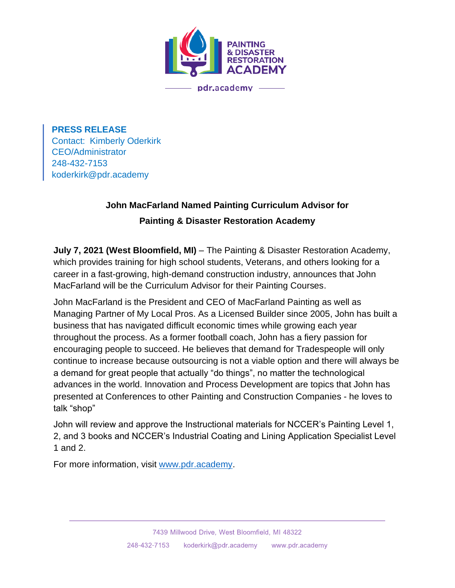

**PRESS RELEASE** Contact: Kimberly Oderkirk CEO/Administrator 248-432-7153 koderkirk@pdr.academy

## **John MacFarland Named Painting Curriculum Advisor for Painting & Disaster Restoration Academy**

**July 7, 2021 (West Bloomfield, MI)** – The Painting & Disaster Restoration Academy, which provides training for high school students, Veterans, and others looking for a career in a fast-growing, high-demand construction industry, announces that John MacFarland will be the Curriculum Advisor for their Painting Courses.

John MacFarland is the President and CEO of MacFarland Painting as well as Managing Partner of My Local Pros. As a Licensed Builder since 2005, John has built a business that has navigated difficult economic times while growing each year throughout the process. As a former football coach, John has a fiery passion for encouraging people to succeed. He believes that demand for Tradespeople will only continue to increase because outsourcing is not a viable option and there will always be a demand for great people that actually "do things", no matter the technological advances in the world. Innovation and Process Development are topics that John has presented at Conferences to other Painting and Construction Companies - he loves to talk "shop"

John will review and approve the Instructional materials for NCCER's Painting Level 1, 2, and 3 books and NCCER's Industrial Coating and Lining Application Specialist Level 1 and 2.

For more information, visit [www.pdr.academy.](http://www.pdr.academy/)